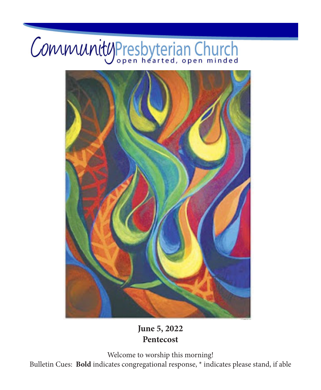# CommunityPresbyterian Church



# **June 5, 2022 Pentecost**

Welcome to worship this morning! Bulletin Cues: **Bold** indicates congregational response, \* indicates please stand, if able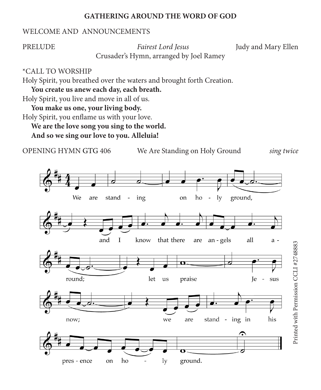#### **GATHERING AROUND THE WORD OF GOD**

#### WELCOME AND ANNOUNCEMENTS

PRELUDE *Fairest Lord Jesus* Judy and Mary Ellen

Crusader's Hymn, arranged by Joel Ramey

#### \*CALL TO WORSHIP

Holy Spirit, you breathed over the waters and brought forth Creation.

**You create us anew each day, each breath.**

Holy Spirit, you live and move in all of us.

**You make us one, your living body.**

Holy Spirit, you enflame us with your love.

**We are the love song you sing to the world.**

**And so we sing our love to you. Alleluia!**

OPENING HYMN GTG 406 We Are Standing on Holy Ground *sing twice*

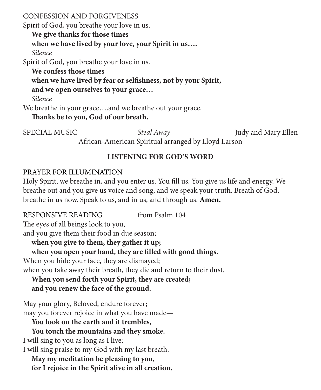CONFESSION AND FORGIVENESS

Spirit of God, you breathe your love in us.

**We give thanks for those times when we have lived by your love, your Spirit in us….** *Silence*

Spirit of God, you breathe your love in us.

**We confess those times**

**when we have lived by fear or selfishness, not by your Spirit,**

**and we open ourselves to your grace…**

*Silence*

We breathe in your grace....and we breathe out your grace.

**Thanks be to you, God of our breath.**

SPECIAL MUSIC *Steal Away* Judy and Mary Ellen African-American Spiritual arranged by Lloyd Larson

# **LISTENING FOR GOD'S WORD**

# PRAYER FOR ILLUMINATION

Holy Spirit, we breathe in, and you enter us. You fill us. You give us life and energy. We breathe out and you give us voice and song, and we speak your truth. Breath of God, breathe in us now. Speak to us, and in us, and through us. **Amen.**

RESPONSIVE READING from Psalm 104 The eyes of all beings look to you, and you give them their food in due season; **when you give to them, they gather it up; when you open your hand, they are filled with good things.** When you hide your face, they are dismayed; when you take away their breath, they die and return to their dust. **When you send forth your Spirit, they are created; and you renew the face of the ground.** May your glory, Beloved, endure forever; may you forever rejoice in what you have made— **You look on the earth and it trembles, You touch the mountains and they smoke.** I will sing to you as long as I live; I will sing praise to my God with my last breath. **May my meditation be pleasing to you,**

**for I rejoice in the Spirit alive in all creation.**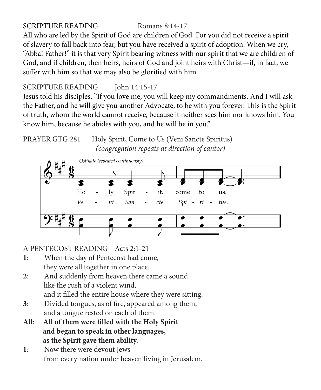## SCRIPTURE READING Romans 8:14-17

All who are led by the Spirit of God are children of God. For you did not receive a spirit of slavery to fall back into fear, but you have received a spirit of adoption. When we cry, "Abba! Father!" it is that very Spirit bearing witness with our spirit that we are children of God, and if children, then heirs, heirs of God and joint heirs with Christ—if, in fact, we suffer with him so that we may also be glorified with him.

# SCRIPTURE READING John 14:15-17

Jesus told his disciples, "If you love me, you will keep my commandments. And I will ask the Father, and he will give you another Advocate, to be with you forever. This is the Spirit of truth, whom the world cannot receive, because it neither sees him nor knows him. You know him, because he abides with you, and he will be in you."





## A PENTECOST READING Acts 2:1-21

- **1**: When the day of Pentecost had come, they were all together in one place.
- **2**: And suddenly from heaven there came a sound like the rush of a violent wind, and it filled the entire house where they were sitting.
- **3**: Divided tongues, as of fire, appeared among them, and a tongue rested on each of them.
- **All**: **All of them were filled with the Holy Spirit and began to speak in other languages, as the Spirit gave them ability.**
- **1**: Now there were devout Jews from every nation under heaven living in Jerusalem.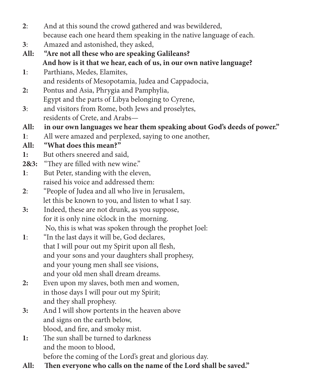- **2**: And at this sound the crowd gathered and was bewildered, because each one heard them speaking in the native language of each.
- **3**: Amazed and astonished, they asked,
- **All: "Are not all these who are speaking Galileans? And how is it that we hear, each of us, in our own native language?**
- **1**: Parthians, Medes, Elamites, and residents of Mesopotamia, Judea and Cappadocia,
- **2:** Pontus and Asia, Phrygia and Pamphylia, Egypt and the parts of Libya belonging to Cyrene,
- **3**: and visitors from Rome, both Jews and proselytes, residents of Crete, and Arabs—
- **All: in our own languages we hear them speaking about God's deeds of power."**
- **1**: All were amazed and perplexed, saying to one another,

# **All: "What does this mean?"**

- **1:** But others sneered and said,
- **2&3:** "They are filled with new wine."
- **1**: But Peter, standing with the eleven, raised his voice and addressed them:
- **2**: "People of Judea and all who live in Jerusalem, let this be known to you, and listen to what I say.
- **3:** Indeed, these are not drunk, as you suppose, for it is only nine o'clock in the morning. No, this is what was spoken through the prophet Joel:
- **1**: "In the last days it will be, God declares, that I will pour out my Spirit upon all flesh, and your sons and your daughters shall prophesy, and your young men shall see visions, and your old men shall dream dreams.
- **2:** Even upon my slaves, both men and women, in those days I will pour out my Spirit; and they shall prophesy.
- **3:** And I will show portents in the heaven above and signs on the earth below, blood, and fire, and smoky mist.
- **1:** The sun shall be turned to darkness and the moon to blood, before the coming of the Lord's great and glorious day.
- **All: Then everyone who calls on the name of the Lord shall be saved."**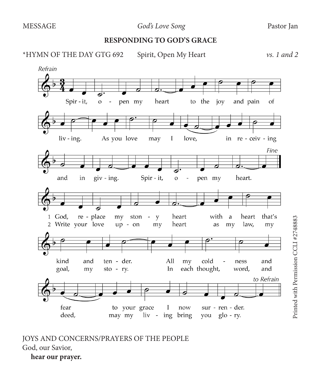#### **RESPONDING TO GOD'S GRACE**

\*HYMN OF THE DAY GTG 692 Spirit, Open My Heart *vs. 1 and 2*



JOYS AND CONCERNS/PRAYERS OF THE PEOPLE God, our Savior, **hear our prayer.**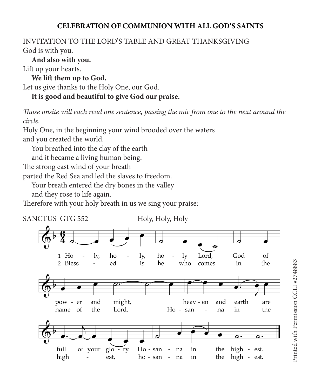### **CELEBRATION OF COMMUNION WITH ALL GOD'S SAINTS**

#### INVITATION TO THE LORD'S TABLE AND GREAT THANKSGIVING God is with you.

**And also with you.**

Lift up your hearts.

**We lift them up to God.** Let us give thanks to the Holy One, our God. **It is good and beautiful to give God our praise.**

*Those onsite will each read one sentence, passing the mic from one to the next around the circle.* 

Holy One, in the beginning your wind brooded over the waters and you created the world.

You breathed into the clay of the earth

and it became a living human being.

The strong east wind of your breath

parted the Red Sea and led the slaves to freedom.

Your breath entered the dry bones in the valley

and they rose to life again.

Therefore with your holy breath in us we sing your praise:

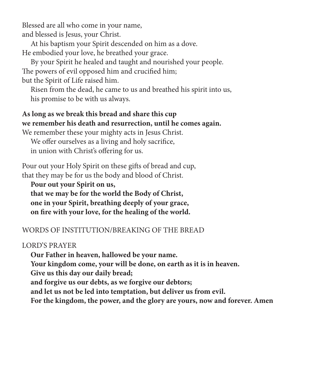Blessed are all who come in your name, and blessed is Jesus, your Christ.

At his baptism your Spirit descended on him as a dove. He embodied your love, he breathed your grace.

By your Spirit he healed and taught and nourished your people. The powers of evil opposed him and crucified him; but the Spirit of Life raised him.

Risen from the dead, he came to us and breathed his spirit into us, his promise to be with us always.

# **As long as we break this bread and share this cup we remember his death and resurrection, until he comes again.**

We remember these your mighty acts in Jesus Christ.

We offer ourselves as a living and holy sacrifice, in union with Christ's offering for us.

Pour out your Holy Spirit on these gifts of bread and cup, that they may be for us the body and blood of Christ.

**Pour out your Spirit on us, that we may be for the world the Body of Christ, one in your Spirit, breathing deeply of your grace, on fire with your love, for the healing of the world.**

# WORDS OF INSTITUTION/BREAKING OF THE BREAD

# LORD'S PRAYER

**Our Father in heaven, hallowed be your name.**

**Your kingdom come, your will be done, on earth as it is in heaven.**

**Give us this day our daily bread;**

**and forgive us our debts, as we forgive our debtors;**

**and let us not be led into temptation, but deliver us from evil.**

**For the kingdom, the power, and the glory are yours, now and forever. Amen**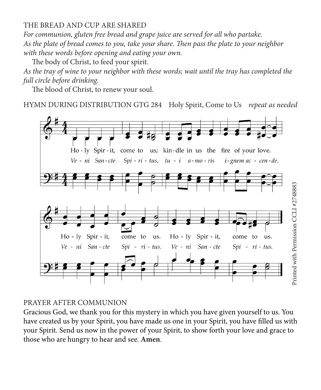#### THE BREAD AND CUP ARE SHARED

*For communion, gluten free bread and grape juice are served for all who partake. As the plate of bread comes to you, take your share. Then pass the plate to your neighbor with these words before opening and eating your own.*

The body of Christ, to feed your spirit.

*As the tray of wine to your neighbor with these words; wait until the tray has completed the full circle before drinking.*

The blood of Christ, to renew your soul.

HYMN DURING DISTRIBUTION GTG 284 Holy Spirit, Come to Us *repeat as needed*



#### PRAYER AFTER COMMUNION

Gracious God, we thank you for this mystery in which you have given yourself to us. You have created us by your Spirit, you have made us one in your Spirit, you have filled us with your Spirit. Send us now in the power of your Spirit, to show forth your love and grace to those who are hungry to hear and see. **Amen**.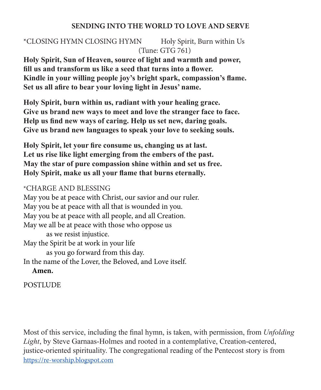#### **SENDING INTO THE WORLD TO LOVE AND SERVE**

# \*CLOSING HYMN CLOSING HYMN Holy Spirit, Burn within Us (Tune: GTG 761)

**Holy Spirit, Sun of Heaven, source of light and warmth and power, fill us and transform us like a seed that turns into a flower. Kindle in your willing people joy's bright spark, compassion's flame. Set us all afire to bear your loving light in Jesus' name.**

**Holy Spirit, burn within us, radiant with your healing grace. Give us brand new ways to meet and love the stranger face to face. Help us find new ways of caring. Help us set new, daring goals. Give us brand new languages to speak your love to seeking souls.**

**Holy Spirit, let your fire consume us, changing us at last. Let us rise like light emerging from the embers of the past. May the star of pure compassion shine within and set us free. Holy Spirit, make us all your flame that burns eternally.**

#### \*CHARGE AND BLESSING

May you be at peace with Christ, our savior and our ruler. May you be at peace with all that is wounded in you. May you be at peace with all people, and all Creation. May we all be at peace with those who oppose us as we resist injustice. May the Spirit be at work in your life as you go forward from this day. In the name of the Lover, the Beloved, and Love itself. **Amen.**

**POSTLUDE** 

Most of this service, including the final hymn, is taken, with permission, from *Unfolding Light*, by Steve Garnaas-Holmes and rooted in a contemplative, Creation-centered, justice-oriented spirituality. The congregational reading of the Pentecost story is from [https://re-worship.blogspot.com](https://re-worship.blogspot.com/2011/06/readers-theatre-for-pentecost.html)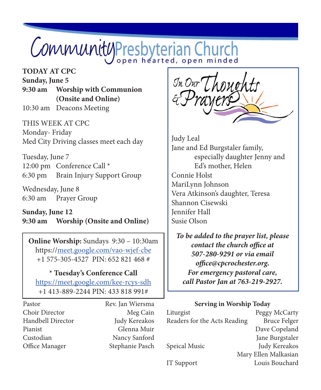# CommunityPresbyterian Church

# **TODAY AT CPC**

**Sunday, June 5 9:30 am Worship with Communion (Onsite and Online)** 10:30 am Deacons Meeting

THIS WEEK AT CPC Monday- Friday Med City Driving classes meet each day

Tuesday, June 7 12:00 pm Conference Call \* 6:30 pm Brain Injury Support Group

Wednesday, June 8 6:30 am Prayer Group

**Sunday, June 12 9:30 am Worship (Onsite and Online)**

**Online Worship:** Sundays 9:30 – 10:30am https://meet.google.com/vao-wjef-cbe +1 575-305-4527 PIN: 652 821 468 #

#### **\* Tuesday's Conference Call**

https://meet.google.com/kee-rcys-sdh +1 413-889-2244 PIN: 433 818 991#

Pastor Rev. Jan Wiersma Choir Director Meg Cain Handbell Director Judy Kereakos Pianist Glenna Muir Custodian Nancy Sanford Office Manager Stephanie Pasch

In Our Thoughts

Judy Leal Jane and Ed Burgstaler family, especially daughter Jenny and Ed's mother, Helen Connie Holst MariLynn Johnson Vera Atkinson's daughter, Teresa Shannon Cisewski Jennifer Hall Susie Olson

*To be added to the prayer list, please contact the church office at 507-280-9291 or via email office@cpcrochester.org. For emergency pastoral care, call Pastor Jan at 763-219-2927.*

#### **Serving in Worship Today**

| Liturgist                    | Peggy McCarty        |
|------------------------------|----------------------|
| Readers for the Acts Reading | <b>Bruce Felger</b>  |
|                              | Dave Copeland        |
|                              | Jane Burgstaler      |
| Speical Music                | Judy Kereakos        |
|                              | Mary Ellen Malkasian |
| IT Support                   | Louis Bouchard       |